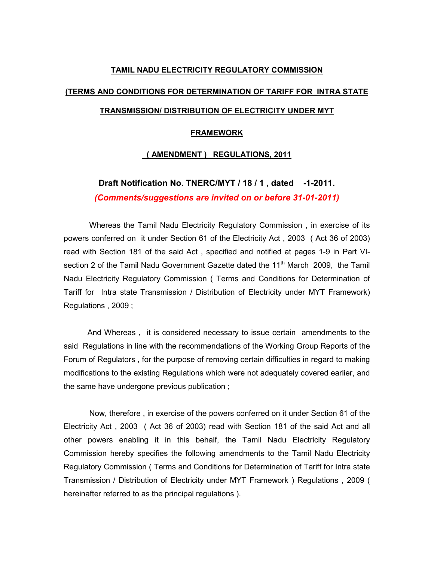#### TAMIL NADU ELECTRICITY REGULATORY COMMISSION

#### (TERMS AND CONDITIONS FOR DETERMINATION OF TARIFF FOR INTRA STATE

## TRANSMISSION/ DISTRIBUTION OF ELECTRICITY UNDER MYT

#### FRAMEWORK

#### ( AMENDMENT ) REGULATIONS, 2011

# Draft Notification No. TNERC/MYT / 18 / 1, dated -1-2011. (Comments/suggestions are invited on or before 31-01-2011)

Whereas the Tamil Nadu Electricity Regulatory Commission , in exercise of its powers conferred on it under Section 61 of the Electricity Act , 2003 ( Act 36 of 2003) read with Section 181 of the said Act , specified and notified at pages 1-9 in Part VIsection 2 of the Tamil Nadu Government Gazette dated the 11<sup>th</sup> March 2009, the Tamil Nadu Electricity Regulatory Commission ( Terms and Conditions for Determination of Tariff for Intra state Transmission / Distribution of Electricity under MYT Framework) Regulations , 2009 ;

 And Whereas , it is considered necessary to issue certain amendments to the said Regulations in line with the recommendations of the Working Group Reports of the Forum of Regulators , for the purpose of removing certain difficulties in regard to making modifications to the existing Regulations which were not adequately covered earlier, and the same have undergone previous publication ;

 Now, therefore , in exercise of the powers conferred on it under Section 61 of the Electricity Act , 2003 ( Act 36 of 2003) read with Section 181 of the said Act and all other powers enabling it in this behalf, the Tamil Nadu Electricity Regulatory Commission hereby specifies the following amendments to the Tamil Nadu Electricity Regulatory Commission ( Terms and Conditions for Determination of Tariff for Intra state Transmission / Distribution of Electricity under MYT Framework ) Regulations , 2009 ( hereinafter referred to as the principal regulations ).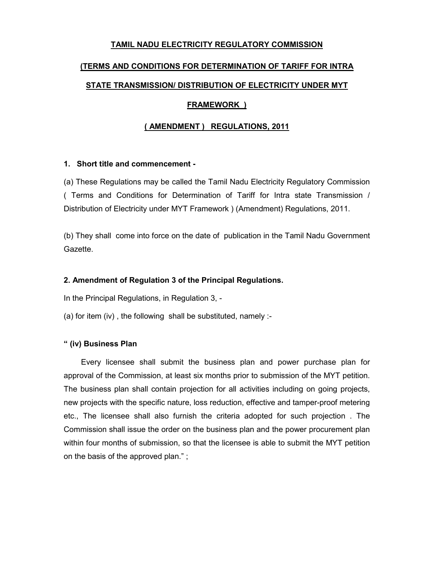## TAMIL NADU ELECTRICITY REGULATORY COMMISSION

# (TERMS AND CONDITIONS FOR DETERMINATION OF TARIFF FOR INTRA

## STATE TRANSMISSION/ DISTRIBUTION OF ELECTRICITY UNDER MYT

## FRAMEWORK )

## ( AMENDMENT ) REGULATIONS, 2011

#### 1. Short title and commencement -

(a) These Regulations may be called the Tamil Nadu Electricity Regulatory Commission ( Terms and Conditions for Determination of Tariff for Intra state Transmission / Distribution of Electricity under MYT Framework ) (Amendment) Regulations, 2011.

(b) They shall come into force on the date of publication in the Tamil Nadu Government Gazette.

#### 2. Amendment of Regulation 3 of the Principal Regulations.

In the Principal Regulations, in Regulation 3, -

(a) for item (iv) , the following shall be substituted, namely :-

#### " (iv) Business Plan

 Every licensee shall submit the business plan and power purchase plan for approval of the Commission, at least six months prior to submission of the MYT petition. The business plan shall contain projection for all activities including on going projects, new projects with the specific nature, loss reduction, effective and tamper-proof metering etc., The licensee shall also furnish the criteria adopted for such projection . The Commission shall issue the order on the business plan and the power procurement plan within four months of submission, so that the licensee is able to submit the MYT petition on the basis of the approved plan." ;